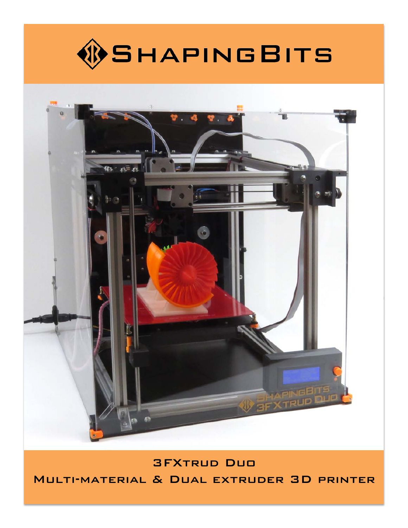



3FXtrud Duo Multi-material & Dual extruder 3D printer